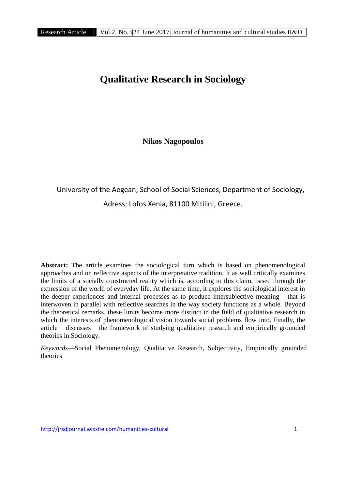# **Qualitative Research in Sociology**

**Nikos Nagopoulos**

# University of the Aegean, School of Social Sciences, Department of Sociology, Adress: Lofos Xenia, 81100 Mitilini, Greece.

**Abstract:** The article examines the sociological turn which is based on phenomenological approaches and on reflective aspects of the interpretative tradition. It as well critically examines the limits of a socially constructed reality which is, according to this claim, based through the expression of the world of everyday life. At the same time, it explores the sociological interest in the deeper experiences and internal processes as to produce intersubjective meaning that is interwoven in parallel with reflective searches in the way society functions as a whole. Beyond the theoretical remarks, these limits become more distinct in the field of qualitative research in which the interests of phenomenological vision towards social problems flow into. Finally, the article discusses the framework of studying qualitative research and empirically grounded theories in Sociology.

*Keywords*—Social Phenomenology, Qualitative Research, Subjectivity, Empirically grounded theories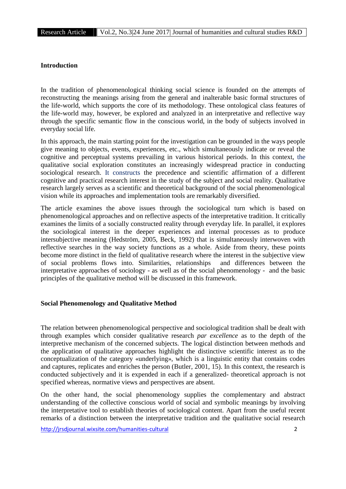### **Introduction**

In the tradition of phenomenological thinking social science is founded on the attempts of reconstructing the meanings arising from the general and inalterable basic formal structures of the life-world, which supports the core of its methodology. These ontological class features of the life-world may, however, be explored and analyzed in an interpretative and reflective way through the specific semantic flow in the conscious world, in the body of subjects involved in everyday social life.

In this approach, the main starting point for the investigation can be grounded in the ways people give meaning to objects, events, experiences, etc., which simultaneously indicate or reveal the cognitive and perceptual systems prevailing in various historical periods. In this context, the qualitative social exploration constitutes an increasingly widespread practice in conducting sociological research. It constructs the precedence and scientific affirmation of a different cognitive and practical research interest in the study of the subject and social reality. Qualitative research largely serves as a scientific and theoretical background of the social phenomenological vision while its approaches and implementation tools are remarkably diversified.

The article examines the above issues through the sociological turn which is based on phenomenological approaches and on reflective aspects of the interpretative tradition. It critically examines the limits of a socially constructed reality through everyday life. In parallel, it explores the sociological interest in the deeper experiences and internal processes as to produce intersubjective meaning (Hedström, 2005, Beck, 1992) that is simultaneously interwoven with reflective searches in the way society functions as a whole. Aside from theory, these points become more distinct in the field of qualitative research where the interest in the subjective view of social problems flows into. Similarities, relationships and differences between the interpretative approaches of sociology - as well as of the social phenomenology - and the basic principles of the qualitative method will be discussed in this framework.

#### **Social Phenomenology and Qualitative Method**

The relation between phenomenological perspective and sociological tradition shall be dealt with through examples which consider qualitative research *par excellence* as to the depth of the interpretive mechanism of the concerned subjects. The logical distinction between methods and the application of qualitative approaches highlight the distinctive scientific interest as to the conceptualization of the category «underlying», which is a linguistic entity that contains codes and captures, replicates and enriches the person (Butler, 2001, 15). In this context, the research is conducted subjectively and it is expended in each if a generalized- theoretical approach is not specified whereas, normative views and perspectives are absent.

On the other hand, the social phenomenology supplies the complementary and abstract understanding of the collective conscious world of social and symbolic meanings by involving the interpretative tool to establish theories of sociological content. Apart from the useful recent remarks of a distinction between the interpretative tradition and the qualitative social research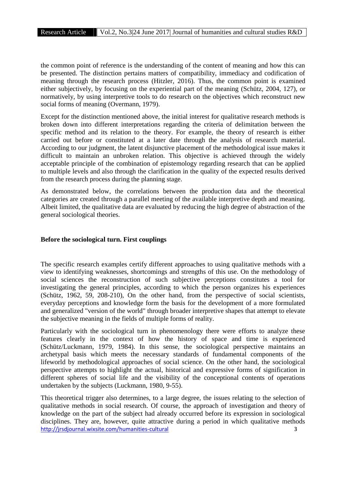the common point of reference is the understanding of the content of meaning and how this can be presented. The distinction pertains matters of compatibility, immediacy and codification of meaning through the research process (Hitzler, 2016). Thus, the common point is examined either subjectively, by focusing on the experiential part of the meaning (Schütz, 2004, 127), or normatively, by using interpretive tools to do research on the objectives which reconstruct new social forms of meaning (Overmann, 1979).

Except for the distinction mentioned above, the initial interest for qualitative research methods is broken down into different interpretations regarding the criteria of delimitation between the specific method and its relation to the theory. For example, the theory of research is either carried out before or constituted at a later date through the analysis of research material. According to our judgment, the latent disjunctive placement of the methodological issue makes it difficult to maintain an unbroken relation. This objective is achieved through the widely acceptable principle of the combination of epistemology regarding research that can be applied to multiple levels and also through the clarification in the quality of the expected results derived from the research process during the planning stage.

As demonstrated below, the correlations between the production data and the theoretical categories are created through a parallel meeting of the available interpretive depth and meaning. Albeit limited, the qualitative data are evaluated by reducing the high degree of abstraction of the general sociological theories.

### **Before the sociological turn. First couplings**

The specific research examples certify different approaches to using qualitative methods with a view to identifying weaknesses, shortcomings and strengths of this use. On the methodology of social sciences the reconstruction of such subjective perceptions constitutes a tool for investigating the general principles, according to which the person organizes his experiences (Schütz, 1962, 59, 208-210), On the other hand, from the perspective of social scientists, everyday perceptions and knowledge form the basis for the development of a more formulated and generalized "version of the world" through broader interpretive shapes that attempt to elevate the subjective meaning in the fields of multiple forms of reality.

Particularly with the sociological turn in phenomenology there were efforts to analyze these features clearly in the context of how the history of space and time is experienced (Schütz/Luckmann, 1979, 1984). In this sense, the sociological perspective maintains an archetypal basis which meets the necessary standards of fundamental components of the lifeworld by methodological approaches of social science. On the other hand, the sociological perspective attempts to highlight the actual, historical and expressive forms of signification in different spheres of social life and the visibility of the conceptional contents of operations undertaken by the subjects (Luckmann, 1980, 9-55).

http://jrsdjournal.wixsite.com/humanities-cultural 3 This theoretical trigger also determines, to a large degree, the issues relating to the selection of qualitative methods in social research. Of course, the approach of investigation and theory of knowledge on the part of the subject had already occurred before its expression in sociological disciplines. They are, however, quite attractive during a period in which qualitative methods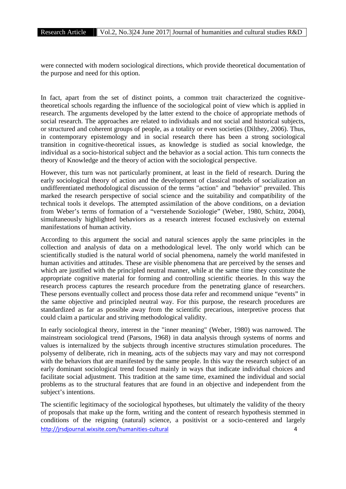were connected with modern sociological directions, which provide theoretical documentation of the purpose and need for this option.

In fact, apart from the set of distinct points, a common trait characterized the cognitivetheoretical schools regarding the influence of the sociological point of view which is applied in research. The arguments developed by the latter extend to the choice of appropriate methods of social research. The approaches are related to individuals and not social and historical subjects, or structured and coherent groups of people, as a totality or even societies (Dilthey, 2006). Thus, in contemporary epistemology and in social research there has been a strong sociological transition in cognitive-theoretical issues, as knowledge is studied as social knowledge, the individual as a socio-historical subject and the behavior as a social action. This turn connects the theory of Knowledge and the theory of action with the sociological perspective.

However, this turn was not particularly prominent, at least in the field of research. During the early sociological theory of action and the development of classical models of socialization an undifferentiated methodological discussion of the terms "action" and "behavior" prevailed. This marked the research perspective of social science and the suitability and compatibility of the technical tools it develops. The attempted assimilation of the above conditions, on a deviation from Weber's terms of formation of a "verstehende Soziologie" (Weber, 1980, Schütz, 2004), simultaneously highlighted behaviors as a research interest focused exclusively on external manifestations of human activity.

According to this argument the social and natural sciences apply the same principles in the collection and analysis of data on a methodological level. The only world which can be scientifically studied is the natural world of social phenomena, namely the world manifested in human activities and attitudes. These are visible phenomena that are perceived by the senses and which are justified with the principled neutral manner, while at the same time they constitute the appropriate cognitive material for forming and controlling scientific theories. In this way the research process captures the research procedure from the penetrating glance of researchers. These persons eventually collect and process those data refer and recommend unique "events" in the same objective and principled neutral way. For this purpose, the research procedures are standardized as far as possible away from the scientific precarious, interpretive process that could claim a particular and striving methodological validity.

In early sociological theory, interest in the "inner meaning" (Weber, 1980) was narrowed. The mainstream sociological trend (Parsons, 1968) in data analysis through systems of norms and values is internalized by the subjects through incentive structures stimulation procedures. The polysemy of deliberate, rich in meaning, acts of the subjects may vary and may not correspond with the behaviors that are manifested by the same people. In this way the research subject of an early dominant sociological trend focused mainly in ways that indicate individual choices and facilitate social adjustment. This tradition at the same time, examined the individual and social problems as to the structural features that are found in an objective and independent from the subject's intentions.

http://jrsdjournal.wixsite.com/humanities-cultural 4 The scientific legitimacy of the sociological hypotheses, but ultimately the validity of the theory of proposals that make up the form, writing and the content of research hypothesis stemmed in conditions of the reigning (natural) science, a positivist or a socio-centered and largely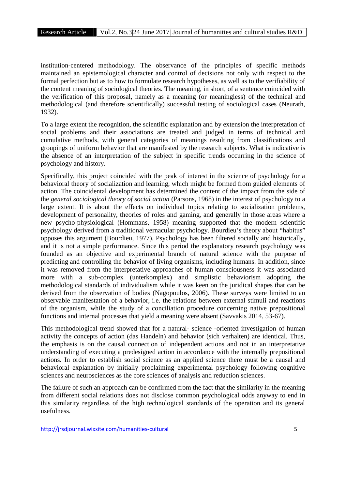institution-centered methodology. The observance of the principles of specific methods maintained an epistemological character and control of decisions not only with respect to the formal perfection but as to how to formulate research hypotheses, as well as to the verifiability of the content meaning of sociological theories. The meaning, in short, of a sentence coincided with the verification of this proposal, namely as a meaning (or meaningless) of the technical and methodological (and therefore scientifically) successful testing of sociological cases (Neurath, 1932).

To a large extent the recognition, the scientific explanation and by extension the interpretation of social problems and their associations are treated and judged in terms of technical and cumulative methods, with general categories of meanings resulting from classifications and groupings of uniform behavior that are manifested by the research subjects. What is indicative is the absence of an interpretation of the subject in specific trends occurring in the science of psychology and history.

Specifically, this project coincided with the peak of interest in the science of psychology for a behavioral theory of socialization and learning, which might be formed from guided elements of action. The coincidental development has determined the content of the impact from the side of the *general sociological theory of social action* (Parsons, 1968) in the interest of psychology to a large extent. It is about the effects on individual topics relating to socialization problems, development of personality, theories of roles and gaming, and generally in those areas where a new psycho-physiological (Hommans, 1958) meaning supported that the modern scientific psychology derived from a traditional vernacular psychology. Bourdieu's theory about "habitus" opposes this argument (Bourdieu, 1977). Psychology has been filtered socially and historically, and it is not a simple performance. Since this period the explanatory research psychology was founded as an objective and experimental branch of natural science with the purpose of predicting and controlling the behavior of living organisms, including humans. In addition, since it was removed from the interpretative approaches of human consciousness it was associated more with a sub-complex (unterkomplex) and simplistic behaviorism adopting the methodological standards of individualism while it was keen on the juridical shapes that can be derived from the observation of bodies (Nagopoulos, 2006). These surveys were limited to an observable manifestation of a behavior, i.e. the relations between external stimuli and reactions of the organism, while the study of a conciliation procedure concerning native prepositional functions and internal processes that yield a meaning were absent (Savvakis 2014, 53-67).

This methodological trend showed that for a natural- science -oriented investigation of human activity the concepts of action (das Handeln) and behavior (sich verhalten) are identical. Thus, the emphasis is on the causal connection of independent actions and not in an interpretative understanding of executing a predesigned action in accordance with the internally prepositional actions. In order to establish social science as an applied science there must be a causal and behavioral explanation by initially proclaiming experimental psychology following cognitive sciences and neurosciences as the core sciences of analysis and reduction sciences.

The failure of such an approach can be confirmed from the fact that the similarity in the meaning from different social relations does not disclose common psychological odds anyway to end in this similarity regardless of the high technological standards of the operation and its general usefulness.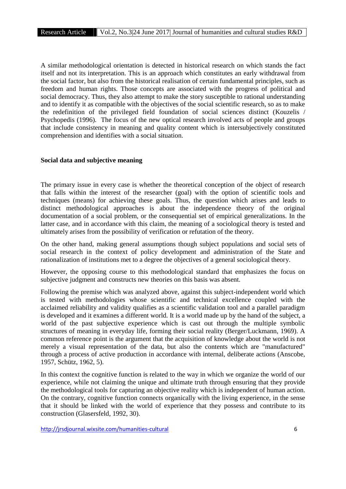A similar methodological orientation is detected in historical research on which stands the fact itself and not its interpretation. This is an approach which constitutes an early withdrawal from the social factor, but also from the historical realisation of certain fundamental principles, such as freedom and human rights. Those concepts are associated with the progress of political and social democracy. Thus, they also attempt to make the story susceptible to rational understanding and to identify it as compatible with the objectives of the social scientific research, so as to make the redefinition of the privileged field foundation of social sciences distinct (Kouzelis / Psychopedis (1996). The focus of the new optical research involved acts of people and groups that include consistency in meaning and quality content which is intersubjectively constituted comprehension and identifies with a social situation.

#### **Social data and subjective meaning**

The primary issue in every case is whether the theoretical conception of the object of research that falls within the interest of the researcher (goal) with the option of scientific tools and techniques (means) for achieving these goals. Thus, the question which arises and leads to distinct methodological approaches is about the independence theory of the original documentation of a social problem, or the consequential set of empirical generalizations. In the latter case, and in accordance with this claim, the meaning of a sociological theory is tested and ultimately arises from the possibility of verification or refutation of the theory.

On the other hand, making general assumptions though subject populations and social sets of social research in the context of policy development and administration of the State and rationalization of institutions met to a degree the objectives of a general sociological theory.

However, the opposing course to this methodological standard that emphasizes the focus on subjective judgment and constructs new theories on this basis was absent.

Following the premise which was analyzed above, against this subject-independent world which is tested with methodologies whose scientific and technical excellence coupled with the acclaimed reliability and validity qualifies as a scientific validation tool and a parallel paradigm is developed and it examines a different world. It is a world made up by the hand of the subject, a world of the past subjective experience which is cast out through the multiple symbolic structures of meaning in everyday life, forming their social reality (Berger/Luckmann, 1969). A common reference point is the argument that the acquisition of knowledge about the world is not merely a visual representation of the data, but also the contents which are "manufactured" through a process of active production in accordance with internal, deliberate actions (Anscobe, 1957, Schütz, 1962, 5).

In this context the cognitive function is related to the way in which we organize the world of our experience, while not claiming the unique and ultimate truth through ensuring that they provide the methodological tools for capturing an objective reality which is independent of human action. On the contrary, cognitive function connects organically with the living experience, in the sense that it should be linked with the world of experience that they possess and contribute to its construction (Glasersfeld, 1992, 30).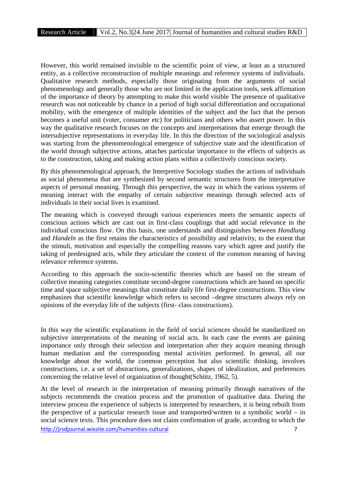However, this world remained invisible to the scientific point of view, at least as a structured entity, as a collective reconstruction of multiple meanings and reference systems of individuals. Qualitative research methods, especially those originating from the arguments of social phenomenology and generally those who are not limited in the application tools, seek affirmation of the importance of theory by attempting to make this world visible The presence of qualitative research was not noticeable by chance in a period of high social differentiation and occupational mobility, with the emergence of multiple identities of the subject and the fact that the person becomes a useful unit (voter, consumer etc) for politicians and others who assert power. In this way the qualitative research focuses on the concepts and interpretations that emerge through the intersubjective representations in everyday life. In this the direction of the sociological analysis was starting from the phenomenological emergence of subjective state and the identification of the world through subjective actions, attaches particular importance to the effects of subjects as to the construction, taking and making action plans within a collectively conscious society.

By this phenomenological approach, the Interpretive Sociology studies the actions of individuals as social phenomena that are synthesized by second semantic structures from the interpretative aspects of personal meaning. Through this perspective, the way in which the various systems of meaning interact with the empathy of certain subjective meanings through selected acts of individuals in their social lives is examined.

The meaning which is conveyed through various experiences meets the semantic aspects of conscious actions which are cast out in first-class couplings that add social relevance in the individual conscious flow. On this basis, one understands and distinguishes between *Handlung* and *Handeln* as the first retains the characteristics of possibility and relativity, to the extent that the stimuli, motivation and especially the compelling reasons vary which agree and justify the taking of predesigned acts, while they articulate the context of the common meaning of having relevance reference systems.

According to this approach the socio-scientific theories which are based on the stream of collective meaning categories constitute second-degree constructions which are based on specific time and space subjective meanings that constitute daily life first-degree constructions. This view emphasizes that scientific knowledge which refers to second –degree structures always rely on opinions of the everyday life of the subjects (first- class constructions).

In this way the scientific explanations in the field of social sciences should be standardized on subjective interpretations of the meaning of social acts. In each case the events are gaining importance only through their selection and interpretation after they acquire meaning through human mediation and the corresponding mental activities performed. In general, all our knowledge about the world, the common perception but also scientific thinking, involves constructions, i.e. a set of abstractions, generalizations, shapes of idealization, and preferences concerning the relative level of organization of thought(Schütz, 1962, 5).

http://jrsdjournal.wixsite.com/humanities-cultural 7 At the level of research in the interpretation of meaning primarily through narratives of the subjects recommends the creation process and the promotion of qualitative data. During the interview process the experience of subjects is interpreted by researchers, it is being rebuilt from the perspective of a particular research issue and transported/written to a symbolic world – in social science texts. This procedure does not claim confirmation of grade, according to which the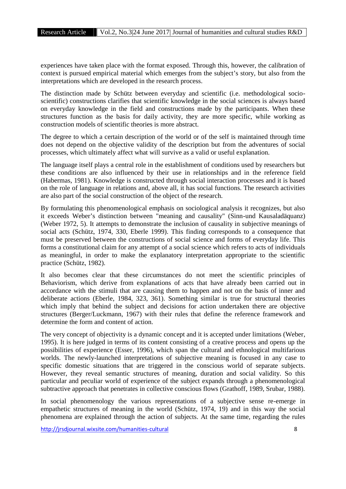experiences have taken place with the format exposed. Through this, however, the calibration of context is pursued empirical material which emerges from the subject's story, but also from the interpretations which are developed in the research process.

The distinction made by Schütz between everyday and scientific (i.e. methodological socio scientific) constructions clarifies that scientific knowledge in the social sciences is always based on everyday knowledge in the field and constructions made by the participants. When these structures function as the basis for daily activity, they are more specific, while working as construction models of scientific theories is more abstract.

The degree to which a certain description of the world or of the self is maintained through time does not depend on the objective validity of the description but from the adventures of social processes, which ultimately affect what will survive as a valid or useful explanation.

The language itself plays a central role in the establishment of conditions used by researchers but these conditions are also influenced by their use in relationships and in the reference field (Habermas, 1981). Knowledge is constructed through social interaction processes and it is based on the role of language in relations and, above all, it has social functions. The research activities are also part of the social construction of the object of the research.

By formulating this phenomenological emphasis on sociological analysis it recognizes, but also it exceeds Weber's distinction between "meaning and causality" (Sinn-und Kausaladäquanz) (Weber 1972, 5). It attempts to demonstrate the inclusion of causality in subjective meanings of social acts (Schütz, 1974, 330, Eberle 1999). This finding corresponds to a consequence that must be preserved between the constructions of social science and forms of everyday life. This forms a constitutional claim for any attempt of a social science which refers to acts of individuals as meaningful, in order to make the explanatory interpretation appropriate to the scientific practice (Schütz, 1982).

It also becomes clear that these circumstances do not meet the scientific principles of Behaviorism, which derive from explanations of acts that have already been carried out in accordance with the stimuli that are causing them to happen and not on the basis of inner and deliberate actions (Eberle, 1984, 323, 361). Something similar is true for structural theories which imply that behind the subject and decisions for action undertaken there are objective structures (Berger/Luckmann, 1967) with their rules that define the reference framework and determine the form and content of action.

The very concept of objectivity is a dynamic concept and it is accepted under limitations (Weber, 1995). It is here judged in terms of its content consisting of a creative process and opens up the possibilities of experience (Esser, 1996), which span the cultural and ethnological multifarious worlds. The newly-launched interpretations of subjective meaning is focused in any case to specific domestic situations that are triggered in the conscious world of separate subjects. However, they reveal semantic structures of meaning, duration and social validity. So this particular and peculiar world of experience of the subject expands through a phenomenological subtractive approach that penetrates in collective conscious flows (Grathoff, 1989, Srubar, 1988).

In social phenomenology the various representations of a subjective sense re-emerge in empathetic structures of meaning in the world (Schütz, 1974, 19) and in this way the social phenomena are explained through the action of subjects. At the same time, regarding the rules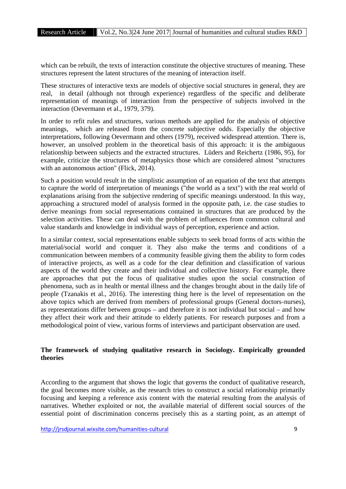which can be rebuilt, the texts of interaction constitute the objective structures of meaning. These structures represent the latent structures of the meaning of interaction itself.

These structures of interactive texts are models of objective social structures in general, they are real, in detail (although not through experience) regardless of the specific and deliberate representation of meanings of interaction from the perspective of subjects involved in the interaction (Oevermann et al., 1979, 379).

In order to refit rules and structures, various methods are applied for the analysis of objective meanings, which are released from the concrete subjective odds. Especially the objective interpretations, following Oevermann and others (1979), received widespread attention. There is, however, an unsolved problem in the theoretical basis of this approach: it is the ambiguous relationship between subjects and the extracted structures. Lüders and Reichertz (1986, 95), for example, criticize the structures of metaphysics those which are considered almost "structures with an autonomous action" (Flick, 2014).

Such a position would result in the simplistic assumption of an equation of the text that attempts to capture the world of interpretation of meanings ("the world as a text") with the real world of explanations arising from the subjective rendering of specific meanings understood. In this way, approaching a structured model of analysis formed in the opposite path, i.e. the case studies to derive meanings from social representations contained in structures that are produced by the selection activities. These can deal with the problem of influences from common cultural and value standards and knowledge in individual ways of perception, experience and action.

In a similar context, social representations enable subjects to seek broad forms of acts within the material/social world and conquer it. They also make the terms and conditions of a communication between members of a community feasible giving them the ability to form codes of interactive projects, as well as a code for the clear definition and classification of various aspects of the world they create and their individual and collective history. For example, there are approaches that put the focus of qualitative studies upon the social construction of phenomena, such as in health or mental illness and the changes brought about in the daily life of people (Tzanakis et al., 2016). The interesting thing here is the level of representation on the above topics which are derived from members of professional groups (General doctors-nurses), as representations differ between groups – and therefore it is not individual but social – and how they affect their work and their attitude to elderly patients. For research purposes and from a methodological point of view, various forms of interviews and participant observation are used.

### **The framework of studying qualitative research in Sociology. Empirically grounded theories**

According to the argument that shows the logic that governs the conduct of qualitative research, the goal becomes more visible, as the research tries to construct a social relationship primarily focusing and keeping a reference axis content with the material resulting from the analysis of narratives. Whether exploited or not, the available material of different social sources of the essential point of discrimination concerns precisely this as a starting point, as an attempt of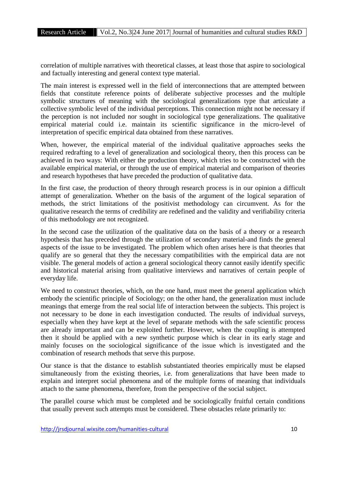correlation of multiple narratives with theoretical classes, at least those that aspire to sociological and factually interesting and general context type material.

The main interest is expressed well in the field of interconnections that are attempted between fields that constitute reference points of deliberate subjective processes and the multiple symbolic structures of meaning with the sociological generalizations type that articulate a collective symbolic level of the individual perceptions. This connection might not be necessary if the perception is not included nor sought in sociological type generalizations. The qualitative empirical material could i.e. maintain its scientific significance in the micro-level of interpretation of specific empirical data obtained from these narratives.

When, however, the empirical material of the individual qualitative approaches seeks the required redrafting to a level of generalization and sociological theory, then this process can be achieved in two ways: With either the production theory, which tries to be constructed with the available empirical material, or through the use of empirical material and comparison of theories and research hypotheses that have preceded the production of qualitative data.

In the first case, the production of theory through research process is in our opinion a difficult attempt of generalization. Whether on the basis of the argument of the logical separation of methods, the strict limitations of the positivist methodology can circumvent. As for the qualitative research the terms of credibility are redefined and the validity and verifiability criteria of this methodology are not recognized.

In the second case the utilization of the qualitative data on the basis of a theory or a research hypothesis that has preceded through the utilization of secondary material-and finds the general aspects of the issue to be investigated. The problem which often arises here is that theories that qualify are so general that they the necessary compatibilities with the empirical data are not visible. The general models of action a general sociological theory cannot easily identify specific and historical material arising from qualitative interviews and narratives of certain people of everyday life.

We need to construct theories, which, on the one hand, must meet the general application which embody the scientific principle of Sociology; on the other hand, the generalization must include meanings that emerge from the real social life of interaction between the subjects. This project is not necessary to be done in each investigation conducted. The results of individual surveys, especially when they have kept at the level of separate methods with the safe scientific process are already important and can be exploited further. However, when the coupling is attempted then it should be applied with a new synthetic purpose which is clear in its early stage and mainly focuses on the sociological significance of the issue which is investigated and the combination of research methods that serve this purpose.

Our stance is that the distance to establish substantiated theories empirically must be elapsed simultaneously from the existing theories, i.e. from generalizations that have been made to explain and interpret social phenomena and of the multiple forms of meaning that individuals attach to the same phenomena, therefore, from the perspective of the social subject.

The parallel course which must be completed and be sociologically fruitful certain conditions that usually prevent such attempts must be considered. These obstacles relate primarily to: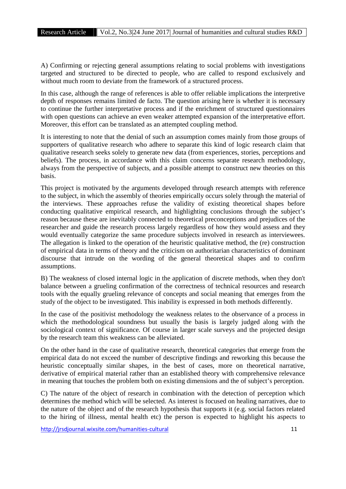A) Confirming or rejecting general assumptions relating to social problems with investigations targeted and structured to be directed to people, who are called to respond exclusively and without much room to deviate from the framework of a structured process.

In this case, although the range of references is able to offer reliable implications the interpretive depth of responses remains limited de facto. The question arising here is whether it is necessary to continue the further interpretative process and if the enrichment of structured questionnaires with open questions can achieve an even weaker attempted expansion of the interpretative effort. Moreover, this effort can be translated as an attempted coupling method.

It is interesting to note that the denial of such an assumption comes mainly from those groups of supporters of qualitative research who adhere to separate this kind of logic research claim that qualitative research seeks solely to generate new data (from experiences, stories, perceptions and beliefs). The process, in accordance with this claim concerns separate research methodology, always from the perspective of subjects, and a possible attempt to construct new theories on this basis.

This project is motivated by the arguments developed through research attempts with reference to the subject, in which the assembly of theories empirically occurs solely through the material of the interviews. These approaches refuse the validity of existing theoretical shapes before conducting qualitative empirical research, and highlighting conclusions through the subject's reason because these are inevitably connected to theoretical preconceptions and prejudices of the researcher and guide the research process largely regardless of how they would assess and they would eventually categorize the same procedure subjects involved in research as interviewees. The allegation is linked to the operation of the heuristic qualitative method, the (re) construction of empirical data in terms of theory and the criticism on authoritarian characteristics of dominant discourse that intrude on the wording of the general theoretical shapes and to confirm assumptions.

B) The weakness of closed internal logic in the application of discrete methods, when they don't balance between a grueling confirmation of the correctness of technical resources and research tools with the equally grueling relevance of concepts and social meaning that emerges from the study of the object to be investigated. This inability is expressed in both methods differently.

In the case of the positivist methodology the weakness relates to the observance of a process in which the methodological soundness but usually the basis is largely judged along with the sociological context of significance. Of course in larger scale surveys and the projected design by the research team this weakness can be alleviated.

On the other hand in the case of qualitative research, theoretical categories that emerge from the empirical data do not exceed the number of descriptive findings and reworking this because the heuristic conceptually similar shapes, in the best of cases, more on theoretical narrative, derivative of empirical material rather than an established theory with comprehensive relevance in meaning that touches the problem both on existing dimensions and the of subject's perception.

C) The nature of the object of research in combination with the detection of perception which determines the method which will be selected. As interest is focused on healing narratives, due to the nature of the object and of the research hypothesis that supports it (e.g. social factors related to the hiring of illness, mental health etc) the person is expected to highlight his aspects to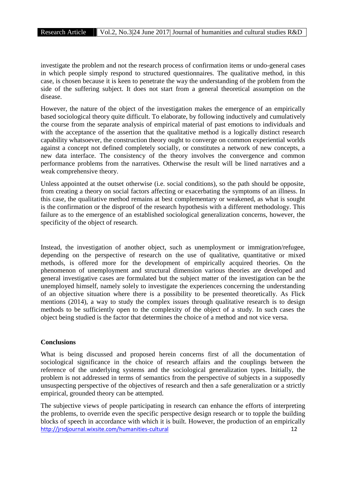investigate the problem and not the research process of confirmation items or undo-general cases in which people simply respond to structured questionnaires. The qualitative method, in this case, is chosen because it is keen to penetrate the way the understanding of the problem from the side of the suffering subject. It does not start from a general theoretical assumption on the disease.

However, the nature of the object of the investigation makes the emergence of an empirically based sociological theory quite difficult. To elaborate, by following inductively and cumulatively the course from the separate analysis of empirical material of past emotions to individuals and with the acceptance of the assertion that the qualitative method is a logically distinct research capability whatsoever, the construction theory ought to converge on common experiential worlds against a concept not defined completely socially, or constitutes a network of new concepts, a new data interface. The consistency of the theory involves the convergence and common performance problems from the narratives. Otherwise the result will be lined narratives and a weak comprehensive theory.

Unless appointed at the outset otherwise (i.e. social conditions), so the path should be opposite, from creating a theory on social factors affecting or exacerbating the symptoms of an illness. In this case, the qualitative method remains at best complementary or weakened, as what is sought is the confirmation or the disproof of the research hypothesis with a different methodology. This failure as to the emergence of an established sociological generalization concerns, however, the specificity of the object of research.

Instead, the investigation of another object, such as unemployment or immigration/refugee, depending on the perspective of research on the use of qualitative, quantitative or mixed methods, is offered more for the development of empirically acquired theories. On the phenomenon of unemployment and structural dimension various theories are developed and general investigative cases are formulated but the subject matter of the investigation can be the unemployed himself, namely solely to investigate the experiences concerning the understanding of an objective situation where there is a possibility to be presented theoretically. As Flick mentions (2014), a way to study the complex issues through qualitative research is to design methods to be sufficiently open to the complexity of the object of a study. In such cases the object being studied is the factor that determines the choice of a method and not vice versa.

### **Conclusions**

What is being discussed and proposed herein concerns first of all the documentation of sociological significance in the choice of research affairs and the couplings between the reference of the underlying systems and the sociological generalization types. Initially, the problem is not addressed in terms of semantics from the perspective of subjects in a supposedly unsuspecting perspective of the objectives of research and then a safe generalization or a strictly empirical, grounded theory can be attempted.

http://jrsdjournal.wixsite.com/humanities-cultural 12 The subjective views of people participating in research can enhance the efforts of interpreting the problems, to override even the specific perspective design research or to topple the building blocks of speech in accordance with which it is built. However, the production of an empirically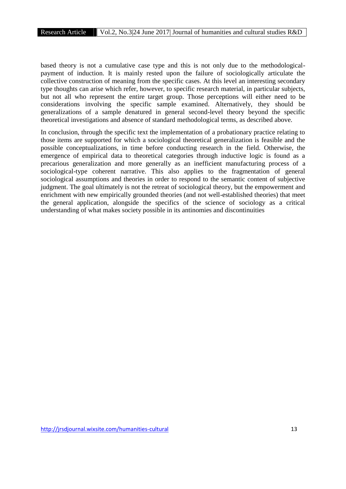based theory is not a cumulative case type and this is not only due to the methodological payment of induction. It is mainly rested upon the failure of sociologically articulate the collective construction of meaning from the specific cases. At this level an interesting secondary type thoughts can arise which refer, however, to specific research material, in particular subjects, but not all who represent the entire target group. Those perceptions will either need to be considerations involving the specific sample examined. Alternatively, they should be generalizations of a sample denatured in general second-level theory beyond the specific theoretical investigations and absence of standard methodological terms, as described above.

In conclusion, through the specific text the implementation of a probationary practice relating to those items are supported for which a sociological theoretical generalization is feasible and the possible conceptualizations, in time before conducting research in the field. Otherwise, the emergence of empirical data to theoretical categories through inductive logic is found as a precarious generalization and more generally as an inefficient manufacturing process of a sociological-type coherent narrative. This also applies to the fragmentation of general sociological assumptions and theories in order to respond to the semantic content of subjective judgment. The goal ultimately is not the retreat of sociological theory, but the empowerment and enrichment with new empirically grounded theories (and not well-established theories) that meet the general application, alongside the specifics of the science of sociology as a critical understanding of what makes society possible in its antinomies and discontinuities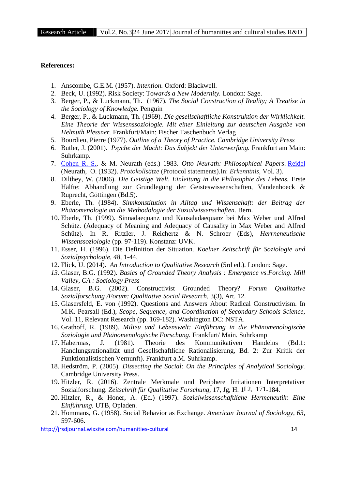### **References:**

- 1. Anscombe, G.E.M. (1957). *Intention.* Oxford: Blackwell.
- 2. Beck, U. (1992). Risk Society: Τo*wards a New Modernity.* London: Sage.
- 3. Berger, P., & Luckmann, Th. (1967). *The Social Construction of Reality; A Treatise in the Sociology of Knowledge.* Penguin
- 4. Berger, P., & Luckmann, Th. (1969). *Die gesellschaftliche Konstruktion der Wirklichkeit. Eine Theorie der Wissenssoziologie. Mit einer Einleitung zur deutschen Ausgabe von Helmuth Plessner.* Frankfurt/Main: Fischer Taschenbuch Verlag
- 5. Bourdieu, Pierre (1977). *Outline of a Theory of Practice. Cambridge University Press*
- 6. Butler, J. (2001). *Psyche der Macht: Das Subjekt der Unterwerfung.* Frankfurt am Main: Suhrkamp.
- 7. Cohen R. S., & M. Neurath (eds.) 1983. *Otto Neurath: Philosophical Papers*. Reidel (Neurath, O. (1932). *Protokollsätze* (Protocol statements).In: *Erkenntnis,* Vol. 3).
- 8. Dilthey, W. (2006). *Die Geistige Welt. Einleitung in die Philosophie des Lebens.* Erste Hälfte: Abhandlung zur Grundlegung der Geisteswissenschaften, Vandenhoeck & Ruprecht, Göttingen (Bd.5).
- 9. Eberle, Th. (1984). *Sinnkonstitution in Alltag und Wissenschaft: der Beitrag der Phänomenologie an die Methodologie der Sozialwissenschaften.* Bern.
- 10. Eberle, Th. (1999). Sinnadaequanz und Kausaladaequanz bei Max Weber und Alfred Schütz. (Adequacy of Meaning and Adequacy of Causality in Max Weber and Alfred Schütz). In R. RitzIer, J. Reichertz & N. Schroer (Eds), *Herrneneutische Wissenssoziologie* (pp. 97-119). Konstanz: UVK.
- 11. Esser, H. (1996). Die Definition der Situation. *Koelner Zeitschrift für Soziologie und Sozialpsychologie, 48,* 1-44.
- 12. Flick, U. (2014). *An Introduction to Qualitative Research* (5rd ed.). London: Sage.
- *13.* Glaser, B.G. (1992). *Basics of Grounded Theory Analysis : Emergence vs.Forcing. Mill Valley, CA : Sociology Press*
- 14. Glaser, B.G. (2002). Constructivist Grounded Theory? *Forum Qualitative Sozialforschung /Forum: Qualitative Social Research,* 3(3), Art. 12.
- 15. Glasersfeld, E. von (1992). Questions and Answers About Radical Constructivism. In M.K. Pearsall (Ed.), *Scope, Sequence, and Coordination of Secondary Schools Science,* Vol. 11, Relevant Research (pp. 169-182). Washington DC: NSTA.
- 16. Grathoff, R. (1989). *Milieu und Lebenswelt: Einführung in die Phänomenologische Soziologie und Phänomenologische Forschung.* Frankfurt/ Main. Suhrkamp
- 17. Habermas, J. (1981). Theorie des Kommunikativen Handelns (Bd.1: Handlungsrationalität und Gesellschaftliche Rationalisierung, Bd. 2: Zur Kritik der Funktionalistischen Vernunft). Frankfurt a.M. Suhrkamp.
- 18. Hedström, P. (2005). *Dissecting the Social: On the Principles of Analytical Sociology.* Cambridge University Press.
- 19. Hitzler, R. (2016). Zentrale Merkmale und Periphere Irritationen Interpretativer Sozialforschung. *Zeitschrift für Qualitative Forschung,* 17, Jg, H. 1‒2, 171-184.
- 20. Hitzler, R., & Honer, (Ed.) (1997). *Sozialwissenschaftliche Hermeneutik: Eine Einführung.* UTB, Opladen.
- 21. Hommans, G. (1958). Social Behavior as Exchange. *American Journal of Sociology, 63,* 597-606.